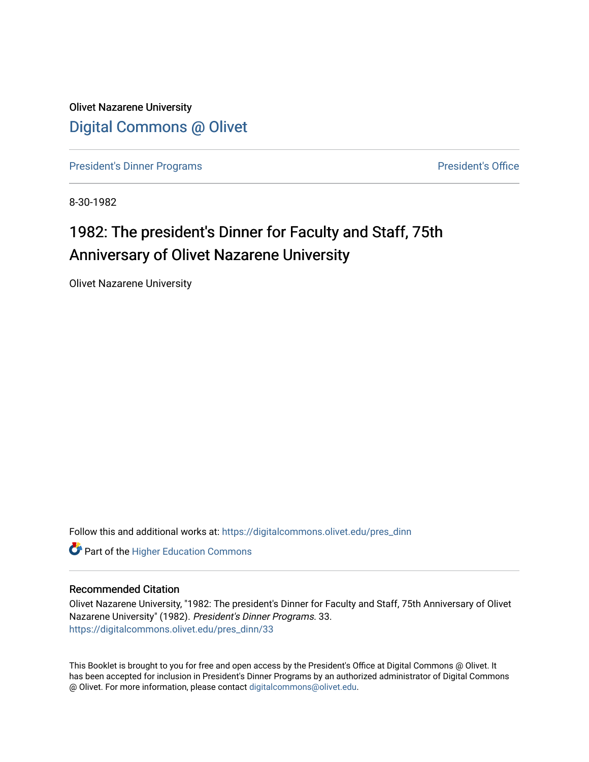Olivet Nazarene University [Digital Commons @ Olivet](https://digitalcommons.olivet.edu/)

[President's Dinner Programs](https://digitalcommons.olivet.edu/pres_dinn) **President's Office** 

8-30-1982

### 1982: The president's Dinner for Faculty and Staff, 75th Anniversary of Olivet Nazarene University

Olivet Nazarene University

Follow this and additional works at: [https://digitalcommons.olivet.edu/pres\\_dinn](https://digitalcommons.olivet.edu/pres_dinn?utm_source=digitalcommons.olivet.edu%2Fpres_dinn%2F33&utm_medium=PDF&utm_campaign=PDFCoverPages)

**Part of the Higher Education Commons** 

#### Recommended Citation

Olivet Nazarene University, "1982: The president's Dinner for Faculty and Staff, 75th Anniversary of Olivet Nazarene University" (1982). President's Dinner Programs. 33. [https://digitalcommons.olivet.edu/pres\\_dinn/33](https://digitalcommons.olivet.edu/pres_dinn/33?utm_source=digitalcommons.olivet.edu%2Fpres_dinn%2F33&utm_medium=PDF&utm_campaign=PDFCoverPages) 

This Booklet is brought to you for free and open access by the President's Office at Digital Commons @ Olivet. It has been accepted for inclusion in President's Dinner Programs by an authorized administrator of Digital Commons @ Olivet. For more information, please contact [digitalcommons@olivet.edu.](mailto:digitalcommons@olivet.edu)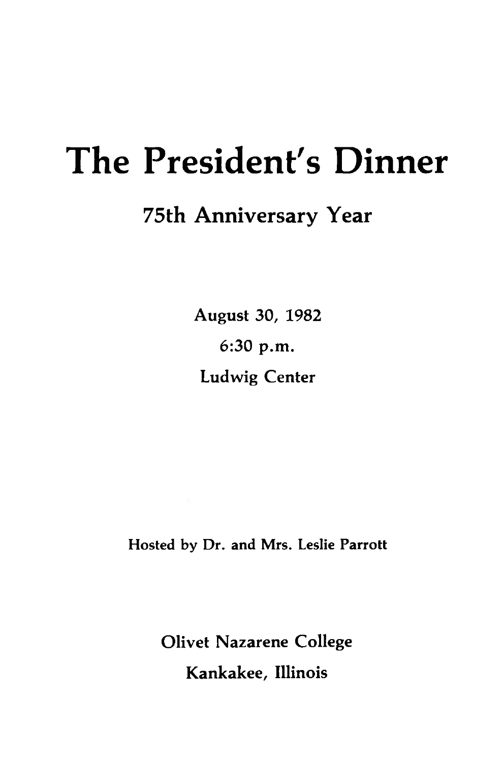### **The President's Dinner**

### **75th Anniversary Year**

**August 30, 1982 6:30 p.m. Ludwig Center**

Hosted by Dr. and Mrs. Leslie Parrott

**Olivet Nazarene College Kankakee, Illinois**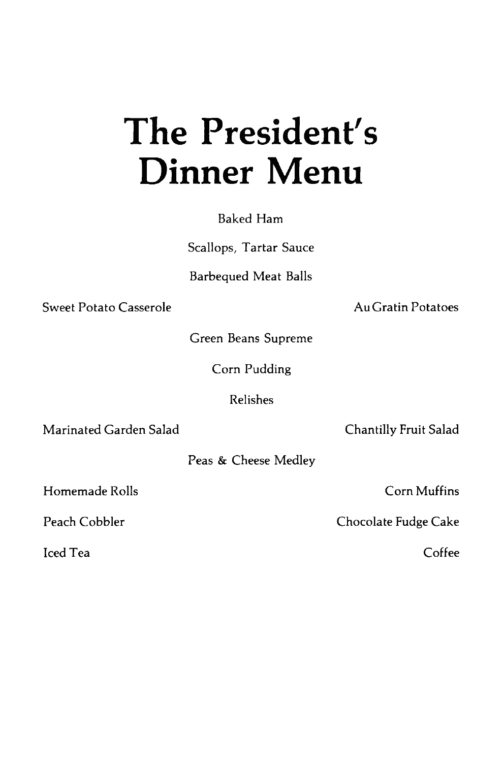# The President's **Dinner Menu**

Baked Ham

Scallops, Tartar Sauce

**Barbequed Meat Balls** 

Sweet Potato Casserole

**Au Gratin Potatoes** 

Green Beans Supreme

Corn Pudding

Relishes

Marinated Garden Salad

Chantilly Fruit Salad

Peas & Cheese Medley

Homemade Rolls

Peach Cobbler

**Iced Tea** 

Corn Muffins

Chocolate Fudge Cake

 $C<sub>offee</sub>$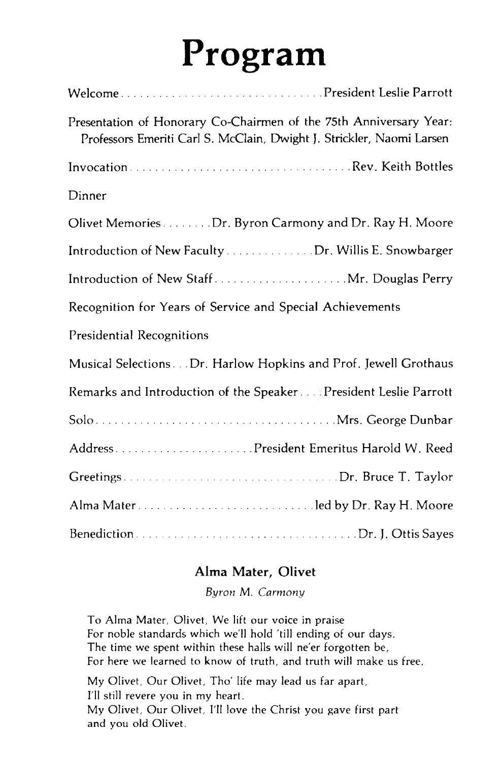# Program

| Presentation of Honorary Co-Chairmen of the 75th Anniversary Year:<br>Professors Emeriti Carl S. McClain, Dwight J. Strickler, Naomi Larsen |
|---------------------------------------------------------------------------------------------------------------------------------------------|
|                                                                                                                                             |
| Dinner                                                                                                                                      |
| Olivet Memories Dr. Byron Carmony and Dr. Ray H. Moore                                                                                      |
| Introduction of New Faculty Dr. Willis E. Snowbarger                                                                                        |
| Introduction of New Staff Mr. Douglas Perry                                                                                                 |
| Recognition for Years of Service and Special Achievements                                                                                   |
| <b>Presidential Recognitions</b>                                                                                                            |
| Musical Selections Dr. Harlow Hopkins and Prof. Jewell Grothaus                                                                             |
| Remarks and Introduction of the Speaker President Leslie Parrott                                                                            |
|                                                                                                                                             |
|                                                                                                                                             |
|                                                                                                                                             |
|                                                                                                                                             |
|                                                                                                                                             |

### Alma Mater, Olivet

Byron M. Carmony

To Alma Mater, Olivet, We lift our voice in praise For noble standards which we'll hold 'till ending of our days. The time we spent within these halls will ne'er forgotten be, For here we learned to know of truth, and truth will make us free.

My Olivet, Our Olivet, Tho' life may lead us far apart, I'll still revere you in my heart. My Olivet, Our Olivet, I'll love the Christ you gave first part and you old Olivet.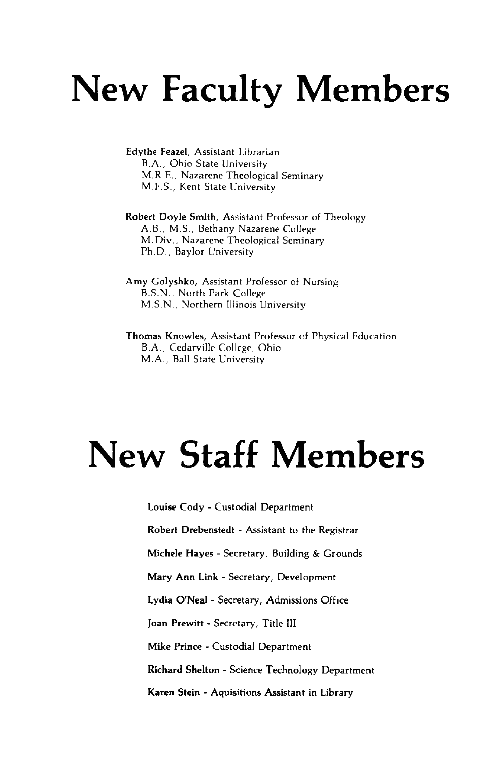## **New Faculty Members**

Edythe Feazel, Assistant Librarian B .A ., Ohio State University M .R .E., Nazarene Theological Seminary M .F.S., Kent State University

Robert Doyle Smith, Assistant Professor of Theology A.B., M.S., Bethany Nazarene College M. Div., Nazarene Theological Seminary Ph.D., Baylor University

Amy Golyshko, Assistant Professor of Nursing B.S.N ., North Park College M.S.N., Northern Illinois University

Thomas Knowles, Assistant Professor of Physical Education B .A ., Cedarville College, Ohio M.A., Ball State University

# **New Staff Members**

**Louise Cody** - Custodial Department **Robert Drebenstedt** - Assistant to the Registrar **Michele Hayes** - Secretary, Building & Grounds Mary **Ann Link** - Secretary, Development **Lydia O'Neal** - Secretary, Admissions Office **Joan Prewitt** - Secretary, Title **III Mike Prince - Custodial** Department **Richard Shelton** - Science **Technology** Department **Karen Stein - Aquisitions Assistant in** Library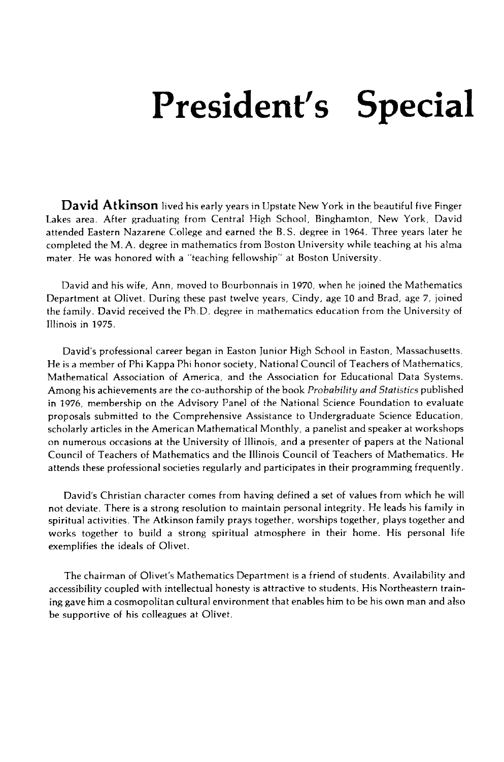## **President's Special**

**David Atkinson** lived his early years in Upstate New York in the beautiful five Finger Lakes area. After graduating from Central High School, Binghamton, New York, David attended Eastern Nazarene College and earned the B .S . degree in 1964. Three years later he completed the M. A. degree in mathematics from Boston University while teaching at his alma mater. He was honored with a "teaching fellowship" at Boston University.

David and his wife, Ann, moved to Bourbonnais in 1970, when he joined the Mathematics Department at Olivet. During these past twelve years, Cindy, age 10 and Brad, age 7, joined the family. David received the Ph.D. degree in mathematics education from the University of Illinois in 1975.

David's professional career began in Easton Junior High School in Easton, Massachusetts. He is a member of Phi Kappa Phi honor society, National Council of Teachers of Mathematics, Mathematical Association of America, and the Association for Educational Data Systems. Among his achievements are the co-authorship of the book *P robability an d Statistics* published in 1976, membership on the Advisory Panel of the National Science Foundation to evaluate proposals submitted to the Comprehensive Assistance to Undergraduate Science Education, scholarly articles in the American Mathematical Monthly, a panelist and speaker at workshops on numerous occasions at the University of Illinois, and a presenter of papers at the National Council of Teachers of Mathematics and the Illinois Council of Teachers of Mathematics. He attends these professional societies regularly and participates in their programming frequently.

David's Christian character comes from having defined a set of values from which he will not deviate. There is a strong resolution to maintain personal integrity. He leads his family in spiritual activities. The Atkinson family prays together, worships together, plays together and works together to build a strong spiritual atmosphere in their home. His personal life exemplifies the ideals of Olivet.

The chairman of Olivet's Mathematics Department is a friend of students. Availability and accessibility coupled with intellectual honesty is attractive to students. His Northeastern training gave him a cosmopolitan cultural environment that enables him to be his own man and also be supportive of his colleagues at Olivet.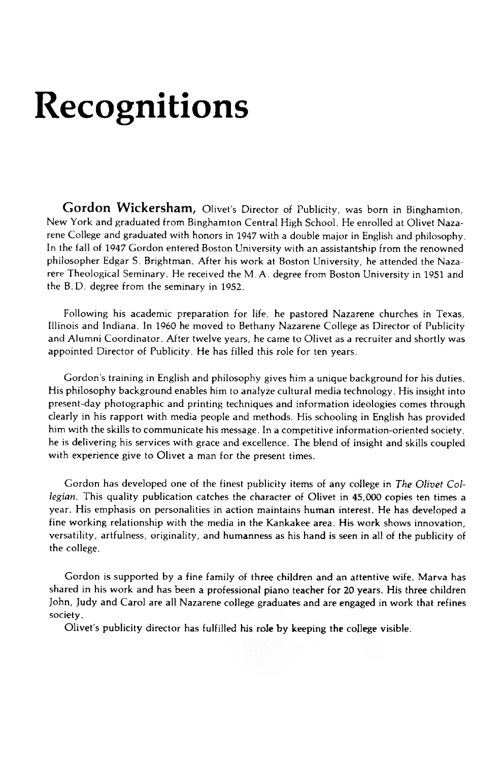## **Recognitions**

**Gordon Wickersham,** Olivet's Director of Publicity, was born in Binghamton, New York and graduated from Binghamton Central High School. He enrolled at Olivet Nazarene College and graduated with honors in 1947 with a double major in English and philosophy. In the fall of 1947 Gordon entered Boston University with an assistantship from the renowned philosopher Edgar S. Brightman. After his work at Boston University, he attended the Nazarere Theological Seminary. He received the M. A. degree from Boston University in 1951 and the B.D. degree from the seminary in 1952.

Following his academic preparation for life, he pastored Nazarene churches in Texas, Illinois and Indiana. In 1960 he moved to Bethany Nazarene College as Director of Publicity and Alumni Coordinator. After twelve years, he came to Olivet as a recruiter and shortly was appointed Director of Publicity. He has filled this role for ten years.

Gordon's training in English and philosophy gives him a unique background for his duties. His philosophy background enables him to analyze cultural media technology. His insight into present-day photographic and printing techniques and information ideologies comes through clearly in his rapport with media people and methods. His schooling in English has provided him with the skills to communicate his message. In a competitive information-oriented society, he is delivering his services with grace and excellence. The blend of insight and skills coupled with experience give to Olivet a man for the present times.

Gordon has developed one of the finest publicity items of any college in *The Olivet Collegian.* This quality publication catches the character of Olivet in 45,000 copies ten times a year. His emphasis on personalities in action maintains human interest. He has developed a fine working relationship with the media in the Kankakee area. His work shows innovation, versatility, artfulness, originality, and humanness as his hand is seen in all of the publicity of the college.

Gordon is supported by a fine family of three children and an attentive wife. Marva has shared in his work and has been a professional piano teacher for 20 years. His three children John, Judy and Carol are all Nazarene college graduates and are engaged in work that refines society.

Olivet's publicity director has fulfilled his role by keeping the college visible.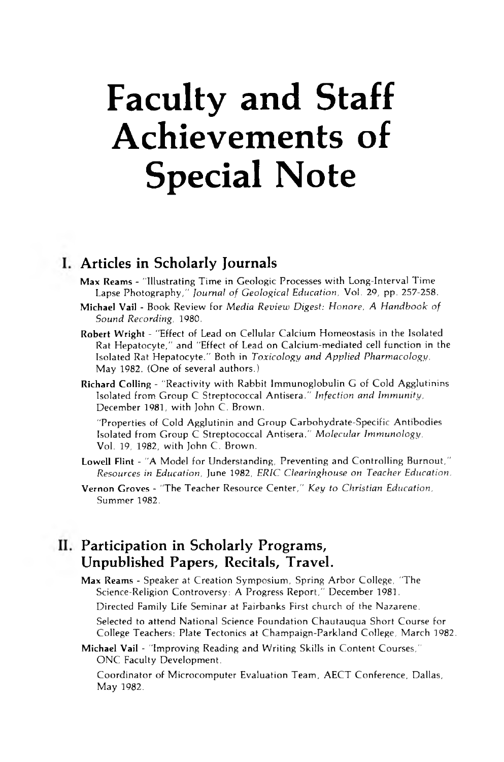## **Faculty and Staff Achievements of Special Note**

#### **Articles in Scholarly Journals**

- **Max Reams**  "Illustrating Time in Geologic Processes with Long-Interval Time Lapse Photography," *Journal of Geological Education*, Vol. 29, pp. 257-258.
- **Michael Vail Book Review for** *Media Review Digest: Honore, A Handbook of Sound R ecording,* 1980.
- **Robert Wright**  "Effect of Lead on Cellular Calcium Homeostasis in the Isolated Rat Hepatocyte," and "Effect of Lead on Calcium-mediated cell function in the Isolated Rat Hepatocyte." Both in *Toxicology and Applied Pharmacology*, May 1982. (One of several authors.)
- **Richard Colling**  "Reactivity with Rabbit Immunoglobulin G of Cold Agglutinins Isolated from Group C Streptococcal Antisera." Infection and Immunity, December 1981, with John C. Brown.

"Properties of Cold Agglutinin and Group Carbohydrate-Specific Antibodies Isolated from Group C Streptococcal Antisera." Molecular Immunology, Vol. 19, 1982, with John C. Brown.

- **Lowell Flint**  "A Model for Understanding, Preventing and Controlling Burnout," *Resources in Education,* June 1982, *ERIC C learinghouse on T eacher Education.*
- **Vernon Groves**  "The Teacher Resource Center," *K ey to Christian Education,* Summer 1982.

### **II. Participation in Scholarly Programs, Unpublished Papers, Recitals, Travel.**

**Max Reams** - Speaker at Creation Symposium, Spring Arbor College, "The Science-Religion Controversy: A Progress Report," December 1981.

Directed Family Life Seminar at Fairbanks First church of the Nazarene.

Selected to attend National Science Foundation Chautauqua Short Course for College Teachers: Plate Tectonics at Champaign-Parkland College, March 1982.

**Michael Vail** - "Improving Reading and Writing Skills in Content Courses," ONC Faculty Development.

Coordinator of Microcomputer Evaluation Team, AECT Conference, Dallas, May 1982.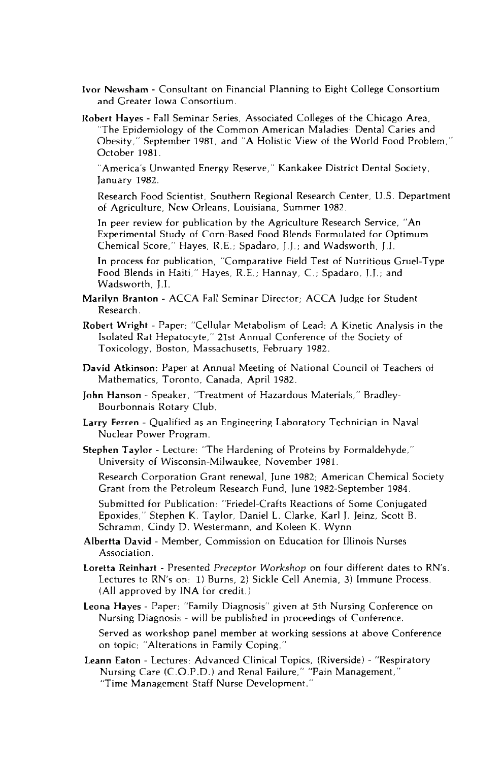- **Ivor Newsham**  Consultant on Financial Planning to Eight College Consortium and Greater Iowa Consortium.
- **Robert Hayes**  Fall Seminar Series, Associated Colleges of the Chicago Area, "The Epidemiology of the Common American Maladies: Dental Caries and Obesity," September 1981, and "A Holistic View of the World Food Problem," October 1981.

"America's Unwanted Energy Reserve," Kankakee District Dental Society, January 1982.

Research Food Scientist, Southern Regional Research Center, U.S. Department of Agriculture, New Orleans, Louisiana, Summer 1982.

In peer review for publication by the Agriculture Research Service, "An Experimental Study of Corn-Based Food Blends Formulated for Optimum Chemical Score," Hayes, R .E.; Spadaro, J.J.; and Wadsworth, J.I.

In process for publication, "Comparative Field Test of Nutritious Gruel-Type Food Blends in Haiti," Hayes, R .E.; Hannay, C .; Spadaro, J.J.; and Wadsworth, J.I.

- **Marilyn Branton**  ACCA Fall Seminar Director; ACCA Judge for Student Research.
- **Robert Wright**  Paper: "Cellular Metabolism of Lead: A Kinetic Analysis in the Isolated Rat Hepatocyte," 21st Annual Conference of the Society of Toxicology, Boston, Massachusetts, February 1982.
- **David Atkinson:** Paper at Annual Meeting of National Council of Teachers of Mathematics, Toronto, Canada, April 1982.
- John Hanson Speaker, "Treatment of Hazardous Materials," Bradley-Bourbonnais Rotary Club.
- **Larry Ferren**  Qualified as an Engineering Laboratory Technician in Naval Nuclear Power Program.
- **Stephen Taylor**  Lecture: "The Hardening of Proteins by Formaldehyde," University of Wisconsin-Milwaukee, November 1981.

Research Corporation Grant renewal, June 1982; American Chemical Society Grant from the Petroleum Research Fund, June 1982-September 1984.

Submitted for Publication: "Friedel-Crafts Reactions of Some Conjugated Epoxides," Stephen K. Taylor, Daniel L. Clarke, Karl J. Jeinz, Scott B. Schramm, Cindy D. Westermann, and Koleen K. Wynn.

- **Albertta David**  Member, Commission on Education for Illinois Nurses Association.
- Loretta Reinhart Presented Preceptor Workshop on four different dates to RN's. Lectures to RN's on: 1) Burns, 2) Sickle Cell Anemia, 3) Immune Process. (All approved by INA for credit.)

**Leona Hayes** - Paper: "Family Diagnosis" given at 5th Nursing Conference on Nursing Diagnosis - will be published in proceedings of Conference.

Served as workshop panel member at working sessions at above Conference on topic: "Alterations in Family Coping."

**Leann Eaton** - Lectures: Advanced Clinical Topics, (Riverside) - "Respiratory Nursing Care (C.O.P.D.) and Renal Failure," "Pain Management," "Time Management-Staff Nurse Development."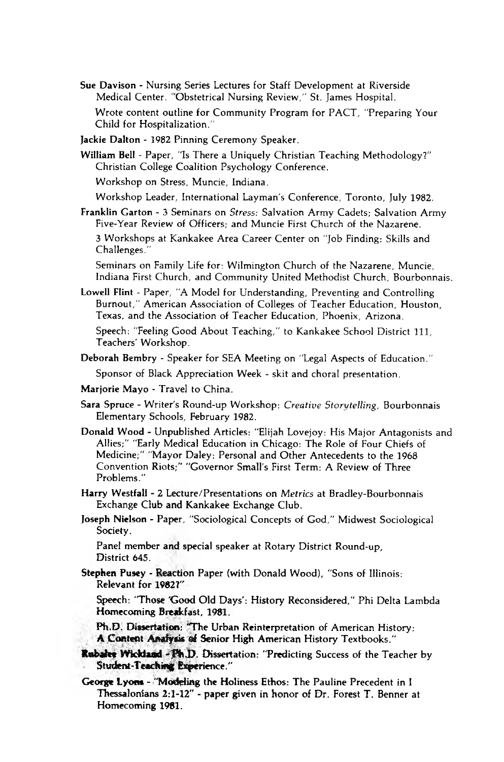**Sue Davison** - Nursing Series Lectures for Staff Development at Riverside Medical Center. "Obstetrical Nursing Review," St. James Hospital.

Wrote content outline for Community Program for PACT, "Preparing Your Child for Hospitalization."

**Jackie Dalton** - 1982 Pinning Ceremony Speaker.

**William Bell -** Paper, "Is There a Uniquely Christian Teaching Methodology?" Christian College Coalition Psychology Conference.

Workshop on Stress, Muncie, Indiana.

Workshop Leader, International Layman's Conference, Toronto, July 1982.

**Franklin Garton** - 3 Seminars on *Stress:* Salvation Army Cadets; Salvation Army Five-Year Review of Officers; and Muncie First Church of the Nazarene. 3 Workshops at Kankakee Area Career Center on "Job Finding: Skills and Challenges."

Seminars on Family Life for: Wilmington Church of the Nazarene, Muncie, Indiana First Church, and Community United Methodist Church, Bourbonnais.

**Lowell Flint** - Paper, "A Model for Understanding, Preventing and Controlling Burnout," American Association of Colleges of Teacher Education, Houston, Texas, and the Association of Teacher Education, Phoenix, Arizona.

Speech: "Feeling Good About Teaching," to Kankakee School District 111, Teachers' Workshop.

**Deborah Bembry** - Speaker for SEA Meeting on "Legal Aspects of Education."

Sponsor of Black Appreciation Week - skit and choral presentation.

- **Marjorie Mayo** Travel to China.
- **Sara Spruce**  Writer's Round-up Workshop: *C reative Storytelling,* Bourbonnais Elementary Schools, February 1982.
- Donald Wood Unpublished Articles: "Elijah Lovejoy: His Major Antagonists and Allies;" "Early Medical Education in Chicago: The Role of Four Chiefs of Medicine;" "Mayor Daley: Personal and Other Antecedents to the 1968 Convention Riots;" "Governor Small's First Term: A Review of Three Problems."
- Harry Westfall 2 Lecture/Presentations on *Metrics* at Bradley-Bourbonnais Exchange Club **and** Kankakee Exchange Club.
- **Joseph Nielson Paper, "Sociological Concepts of God," Midwest Sociological Society.**

**Panel member and special speaker at Rotary District Round-up, District 645.**

**Stephen Pusey - Reaction Paper (with Donald Wood), "Sons of Illinois: Relevant for 1982?"**

**Speech: 'Those 'Good Old Days': History Reconsidered," Phi** Delta Lambda **Homecoming Breakfast, 1981.**

**Ph.D. Dissertation: 'The Urban Reinterpretation of American History:** A Content Analysis of Senior High American History Textbooks."

- **Rubalee Wickland Ph.D.** Dissertation: "Predicting Success of the Teacher by **Student-Teaching Experience."**
- **George Lyons "Modeling the Holiness Ethos: The Pauline Precedent in I Thessalonians 2:1-12" - paper given in honor of Dr. Forest T. Benner at Homecoming 1981.**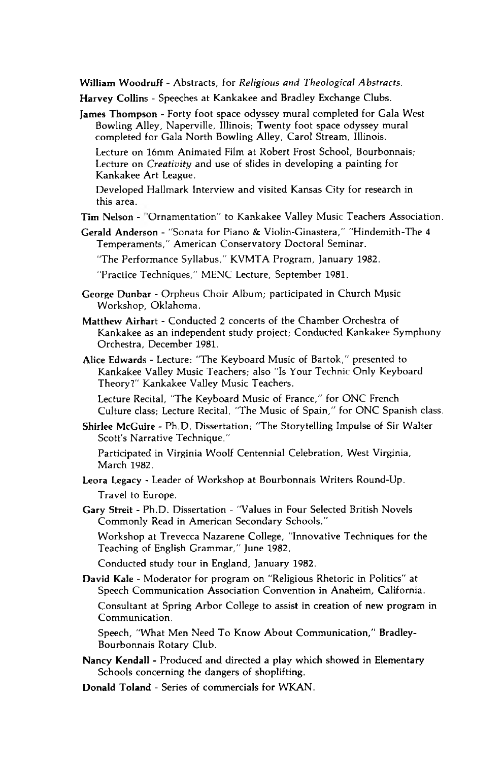William Woodruff - Abstracts, for *Religious and Theological Abstracts*.

Harvey Collins - Speeches at Kankakee and Bradley Exchange Clubs.

**James Thompson** - Forty foot space odyssey mural completed for Gala West Bowling Alley, Naperville, Illinois; Twenty foot space odyssey mural completed for Gala North Bowling Alley, Carol Stream, Illinois.

Lecture on 16mm Animated Film at Robert Frost School, Bourbonnais; Lecture on *Creativity* and use of slides in developing a painting for Kankakee Art League.

Developed Hallmark Interview and visited Kansas City for research in this area.

Tim Nelson - "Ornamentation" to Kankakee Valley Music Teachers Association.

Gerald Anderson - "Sonata for Piano & Violin-Ginastera," "Hindemith-The 4 Temperaments," American Conservatory Doctoral Seminar.

"The Performance Syllabus," KVMTA Program, January 1982.

"Practice Techniques," MENC Lecture, September 1981.

- George Dunbar Orpheus Choir Album; participated in Church Music Workshop, Oklahoma.
- **Matthew Airhart**  Conducted 2 concerts of the Chamber Orchestra of Kankakee as an independent study project; Conducted Kankakee Symphony Orchestra, December 1981.
- Alice Edwards Lecture: "The Keyboard Music of Bartok," presented to Kankakee Valley Music Teachers; also "Is Your Technic Only Keyboard Theory?" Kankakee Valley Music Teachers.

Lecture Recital, "The Keyboard Music of France," for ONC French Culture class; Lecture Recital, "The Music of Spain," for ONC Spanish class.

Shirlee McGuire - Ph.D. Dissertation: "The Storytelling Impulse of Sir Walter Scott's Narrative Technique."

Participated in Virginia Woolf Centennial Celebration, West Virginia, March 1982.

- Leora Legacy Leader of Workshop at Bourbonnais Writers Round-Up. Travel to Europe.
- Gary Streit Ph.D. Dissertation "Values in Four Selected British Novels Commonly Read in American Secondary Schools."

Workshop at Trevecca Nazarene College, "Innovative Techniques for the Teaching of English Grammar," June 1982.

Conducted study tour in England, January 1982.

David Kale - Moderator for program on "Religious Rhetoric in Politics" at Speech Communication Association Convention in Anaheim, California.

Consultant at Spring Arbor College to assist in creation of new program in Communication.

Speech, "What Men Need To Know About Communication," Bradley-Bourbonnais Rotary Club.

Nancy Kendall - Produced and directed a play which showed in Elementary Schools concerning the dangers of shoplifting.

**Donald Toland** - Series of commercials for WKAN.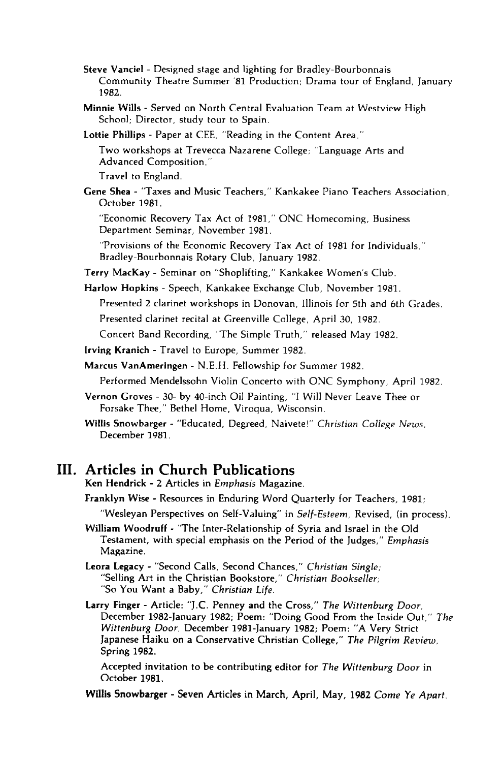- **Steve Vanciel**  Designed stage and lighting for Bradley-Bourbonnais Community Theatre Summer '81 Production; Drama tour of England, January 1982.
- **Minnie Wills**  Served on North Central Evaluation Team at Westview High School; Director, study tour to Spain.
- Lottie Phillips Paper at CEE, "Reading in the Content Area."

Two workshops at Trevecca Nazarene College; "Language Arts and Advanced Composition."

Travel to England.

**Gene Shea** - "Taxes and Music Teachers," Kankakee Piano Teachers Association, October 1981.

"Economic Recovery Tax Act of 1981," ONC Homecoming, Business Department Seminar, November 1981.

"Provisions of the Economic Recovery Tax Act of 1981 for Individuals," Bradley-Bourbonnais Rotary Club, January 1982.

**Terry MacKay** - Seminar on "Shoplifting," Kankakee Women's Club.

**Harlow Hopkins** - Speech, Kankakee Exchange Club, November 1981.

Presented 2 clarinet workshops in Donovan, Illinois for 5th and 6th Grades.

Presented clarinet recital at Greenville College, April 30, 1982.

Concert Band Recording, "The Simple Truth," released May 1982.

**Irving Kranich** - Travel to Europe, Summer 1982.

**Marcus VanAmeringen** - N.E.H. Fellowship for Summer 1982.

Performed Mendelssohn Violin Concerto with ONC Symphony, April 1982.

**Vernon Groves** - 30- by 40-inch Oil Painting, "I Will Never Leave Thee or Forsake Thee," Bethel Home, Viroqua, Wisconsin.

Willis Snowbarger - "Educated, Degreed, Naivete!" Christian College News, December 1981.

#### **III. Articles in Church Publications**

**Ken Hendrick** - 2 Articles in *Emphasis* Magazine.

**Franklyn Wise** - Resources in Enduring Word Quarterly for Teachers, 1981;

"Wesleyan Perspectives on Self-Valuing" in *Self-Esteem ,* Revised, (in process).

**William Woodruff** - "The Inter-Relationship of Syria and Israel in the Old Testament, with special emphasis on the Period of the Judges," *Em phasis* Magazine.

**Leora Legacy** - "Second Calls, Second Chances," *Christian Single;* "Selling Art in the Christian Bookstore," Christian Bookseller; "So You Want a Baby," *Christian Life.*

Larry Finger - Article: "J.C. Penney and the Cross," The Wittenburg Door, December 1982-January 1982; Poem: "Doing Good From the Inside Out," The Wittenburg Door, December 1981-January 1982; Poem: "A Very Strict Japanese Haiku on a Conservative Christian College," The Pilgrim Review. Spring 1982.

Accepted invitation to be contributing editor for *The Wittenburg Door* in October 1981.

Willis Snowbarger - Seven Articles in March, April, May, 1982 Come Ye Apart.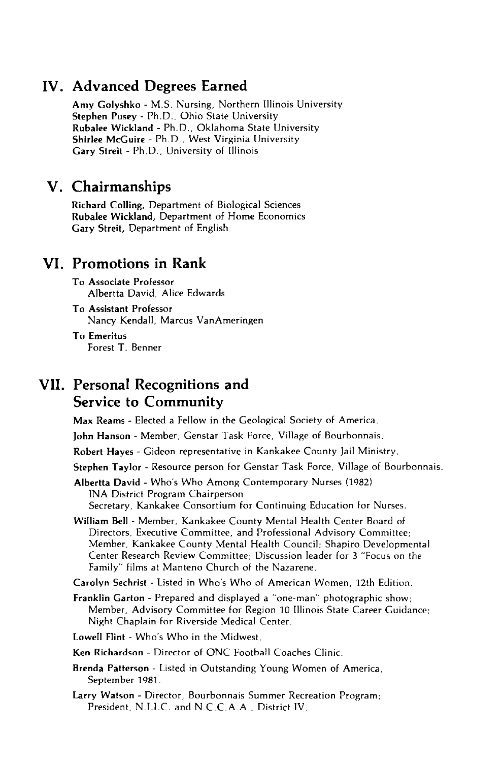#### **IV. Advanced Degrees Earned**

**Amy Golyshko** - M .S. Nursing, Northern Illinois University **Stephen Pusey** - Ph.D ., Ohio State University **Rubalee Wickland** - Ph.D ., Oklahoma State University **Shirlee McGuire** - Ph.D ., West Virginia University **Gary Streit** - Ph.D ., University of Illinois

#### **V. Chairmanships**

**Richard Colling,** Department of Biological Sciences **Rubalee Wickland,** Department of Home Economics **Gary Streit,** Department of English

#### **VI. Promotions in Rank**

**To Associate Professor** Albertta David, Alice Edwards

**To Assistant Professor** Nancy Kendall, Marcus VanAmeringen

**To Emeritus** Forest T. Benner

#### **VII. Personal Recognitions and Service to Community**

**Max Reams** - Elected a Fellow in the Geological Society of America.

**John Hanson** - Member, Genstar Task Force, Village of Bourbonnais.

**Robert Hayes** - Gideon representative in Kankakee County Jail Ministry.

**Stephen Taylor** - Resource person for Genstar Task Force, Village of Bourbonnais.

**Albertta David** - Who's Who Among Contemporary Nurses (1982) INA District Program Chairperson Secretary, Kankakee Consortium for Continuing Education for Nurses.

**William Bell** - Member, Kankakee County Mental Health Center Board of Directors, Executive Committee, and Professional Advisory Committee; Member, Kankakee County Mental Health Council; Shapiro Developmental Center Research Review Committee; Discussion leader for 3 "Focus on the Family" films at Manteno Church of the Nazarene.

**Carolyn Sechrist** - Listed in Who's Who of American Women, 12th Edition.

**Franklin Garton** - Prepared and displayed a "one-man" photographic show; Member, Advisory Committee for Region 10 Illinois State Career Guidance; Night Chaplain for Riverside Medical Center.

Lowell Flint - Who's Who in the Midwest.

**Ken Richardson** - Director of ONC Football Coaches Clinic.

**Brenda Patterson -** Listed in Outstanding Young Women of America, September 1981.

**Larry Watson** - Director, Bourbonnais Summer Recreation Program; President, N.I.I.C. and N.C.C.A.A., District IV.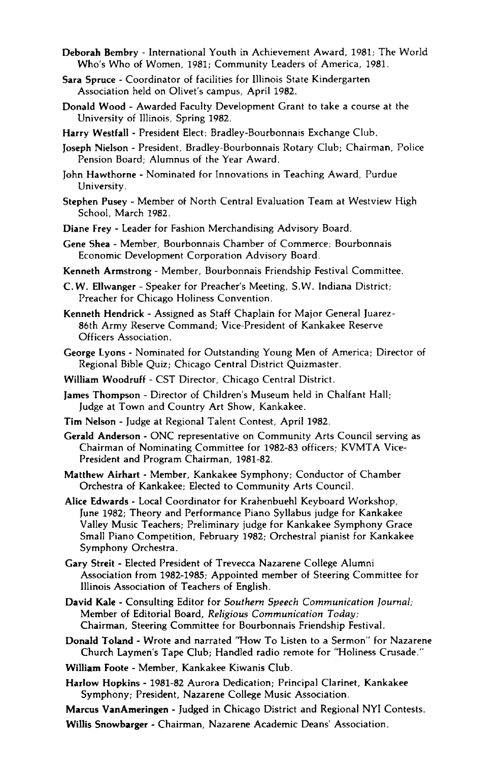- **Deborah Bembry**  International Youth in Achievement Award, 1981; The World Who's Who of Women, 1981; Community Leaders of America, 1981.
- **Sara Spruce**  Coordinator of facilities for Illinois State Kindergarten Association held on Olivet's campus, April 1982.
- **Donald Wood**  Awarded Faculty Development Grant to take a course at the University of Illinois, Spring 1982.
- **Harry Westfall**  President Elect: Bradley-Bourbonnais Exchange Club.
- **Joseph Nielson**  President, Bradley-Bourbonnais Rotary Club; Chairman, Police Pension Board; Alumnus of the Year Award.
- **John Hawthorne**  Nominated for Innovations in Teaching Award, Purdue University.
- **Stephen Pusey**  Member of North Central Evaluation Team at Westview High School, March 1982.
- **Diane Frey**  Leader for Fashion Merchandising Advisory Board.
- **Gene Shea**  Member, Bourbonnais Chamber of Commerce; Bourbonnais Economic Development Corporation Advisory Board.
- **Kenneth Armstrong**  Member, Bourbonnais Friendship Festival Committee.
- C .W . **Ellwanger**  Speaker for Preacher's Meeting, S.W . Indiana District; Preacher for Chicago Holiness Convention.
- Kenneth Hendrick Assigned as Staff Chaplain for Major General Juarez-86th Army Reserve Command; Vice-President of Kankakee Reserve Officers Association.
- **George Lyons**  Nominated for Outstanding Young Men of America; Director of Regional Bible Quiz; Chicago Central District Quizmaster.
- **William Woodruff**  CST Director, Chicago Central District.
- **James Thompson**  Director of Children's Museum held in Chalfant Hall; Judge at Town and Country Art Show, Kankakee.
- **Tim Nelson**  Judge at Regional Talent Contest, April 1982.
- **Gerald Anderson**  ONC representative on Community Arts Council serving as Chairman of Nominating Committee for 1982-83 officers; KVMTA Vice-President and Program Chairman, 1981-82.
- **Matthew Airhart**  Member, Kankakee Symphony; Conductor of Chamber Orchestra of Kankakee; Elected to Community Arts Council.
- **Alice Edwards**  Local Coordinator for Krahenbuehl Keyboard Workshop, June 1982; Theory and Performance Piano Syllabus judge for Kankakee Valley Music Teachers; Preliminary judge for Kankakee Symphony Grace Small Piano Competition, February 1982; Orchestral pianist for Kankakee Symphony Orchestra.
- **Gary Streit**  Elected President of Trevecca Nazarene College Alumni Association from 1982-1985; Appointed member of Steering Committee for Illinois Association of Teachers of English.
- **David Kale Consulting Editor for** *Southern Speech Communication Journal***:** Member of Editorial Board, *Religious Communication Today*; Chairman, Steering Committee for Bourbonnais Friendship Festival.
- **Donald Toland**  Wrote and narrated "How To Listen to a Sermon'' for Nazarene Church Laymen's Tape Club; Handled radio remote for "Holiness Crusade."
- **William Foote**  Member, Kankakee Kiwanis Club.
- **Harlow Hopkins**  1981-82 Aurora Dedication; Principal Clarinet, Kankakee Symphony; President, Nazarene College Music Association.

**Marcus VanAmeringen** - Judged in Chicago District and Regional NYI Contests.

**Willis Snowbarger** - Chairman, Nazarene Academic Deans' Association.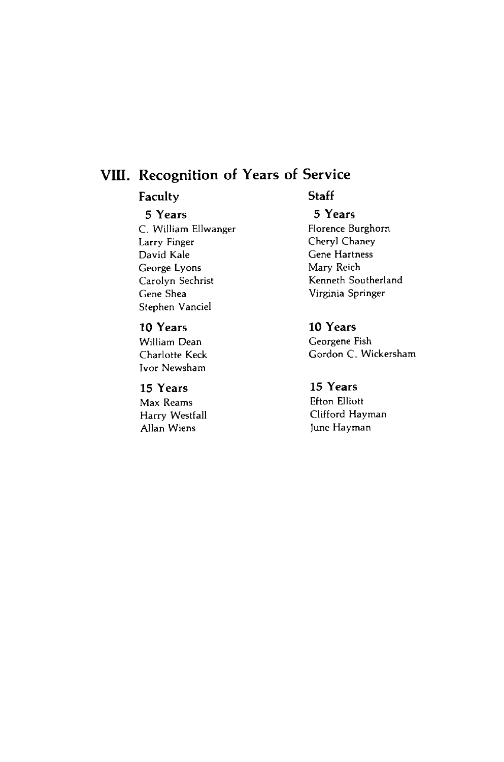### **VIII. Recognition of Years of Service**

#### **Faculty Staff**

#### **5 Y ears 5 Years**

Larry Finger **Cheryl** Chaney David Kale Gene Hartness George Lyons Mary Reich Gene Shea Virginia Springer Stephen Vanciel

#### **10 Years 10 Years**

Ivor Newsham

Harry Westfall<br>Allan Wiens

C. William Ellwanger Florence Burghorn Carolyn Sechrist Kenneth Southerland

William Dean Georgene Fish Charlotte Keck Gordon C. Wickersham

### **15 Y ears 15 Years**

Max Reams Efton Elliott June Hayman